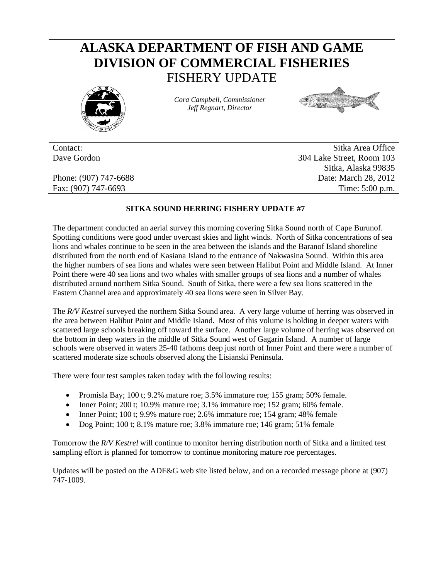## **ALASKA DEPARTMENT OF FISH AND GAME DIVISION OF COMMERCIAL FISHERIES** FISHERY UPDATE



*Cora Campbell, Commissioner Jeff Regnart, Director*



Contact: Sitka Area Office Dave Gordon 304 Lake Street, Room 103 Sitka, Alaska 99835 Phone: (907) 747-6688 Date: March 28, 2012 Fax: (907) 747-6693 Time: 5:00 p.m.

## **SITKA SOUND HERRING FISHERY UPDATE #7**

The department conducted an aerial survey this morning covering Sitka Sound north of Cape Burunof. Spotting conditions were good under overcast skies and light winds. North of Sitka concentrations of sea lions and whales continue to be seen in the area between the islands and the Baranof Island shoreline distributed from the north end of Kasiana Island to the entrance of Nakwasina Sound. Within this area the higher numbers of sea lions and whales were seen between Halibut Point and Middle Island. At Inner Point there were 40 sea lions and two whales with smaller groups of sea lions and a number of whales distributed around northern Sitka Sound. South of Sitka, there were a few sea lions scattered in the Eastern Channel area and approximately 40 sea lions were seen in Silver Bay.

The *R/V Kestrel* surveyed the northern Sitka Sound area. A very large volume of herring was observed in the area between Halibut Point and Middle Island. Most of this volume is holding in deeper waters with scattered large schools breaking off toward the surface. Another large volume of herring was observed on the bottom in deep waters in the middle of Sitka Sound west of Gagarin Island. A number of large schools were observed in waters 25-40 fathoms deep just north of Inner Point and there were a number of scattered moderate size schools observed along the Lisianski Peninsula.

There were four test samples taken today with the following results:

- Promisla Bay; 100 t; 9.2% mature roe;  $3.5\%$  immature roe; 155 gram; 50% female.
- Inner Point; 200 t; 10.9% mature roe; 3.1% immature roe; 152 gram; 60% female.
- Inner Point; 100 t; 9.9% mature roe; 2.6% immature roe; 154 gram; 48% female
- Dog Point; 100 t; 8.1% mature roe; 3.8% immature roe; 146 gram; 51% female

Tomorrow the *R/V Kestrel* will continue to monitor herring distribution north of Sitka and a limited test sampling effort is planned for tomorrow to continue monitoring mature roe percentages.

Updates will be posted on the ADF&G web site listed below, and on a recorded message phone at (907) 747-1009.